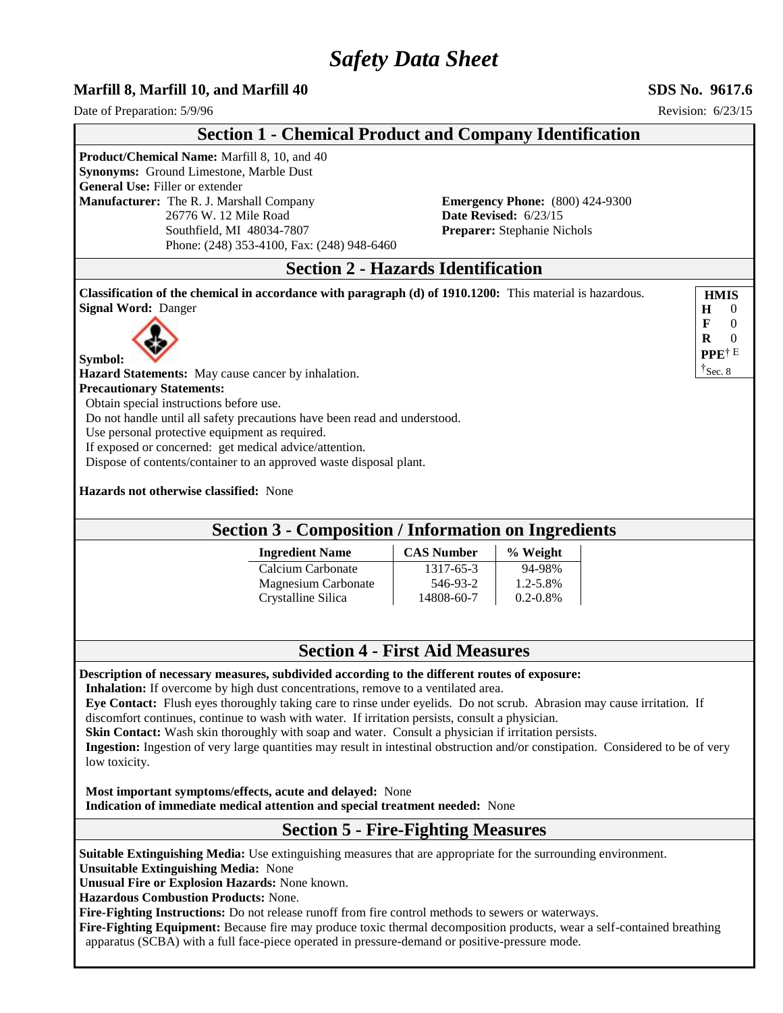# *Safety Data Sheet*

### **Marfill 8, Marfill 10, and Marfill 40 SDS No. 9617.6**

Date of Preparation:  $5/9/96$  Revision:  $6/23/15$ 

|                                                                                                                                                                                                                                                                                                                                                                                                                                                                                                                                                                                                                                                                                          | <b>Section 1 - Chemical Product and Company Identification</b>                                  |                                                          |                                                                                                       |                                                         |
|------------------------------------------------------------------------------------------------------------------------------------------------------------------------------------------------------------------------------------------------------------------------------------------------------------------------------------------------------------------------------------------------------------------------------------------------------------------------------------------------------------------------------------------------------------------------------------------------------------------------------------------------------------------------------------------|-------------------------------------------------------------------------------------------------|----------------------------------------------------------|-------------------------------------------------------------------------------------------------------|---------------------------------------------------------|
| Product/Chemical Name: Marfill 8, 10, and 40<br>Synonyms: Ground Limestone, Marble Dust<br>General Use: Filler or extender<br>Manufacturer: The R. J. Marshall Company<br>26776 W. 12 Mile Road<br>Southfield, MI 48034-7807                                                                                                                                                                                                                                                                                                                                                                                                                                                             | Phone: (248) 353-4100, Fax: (248) 948-6460                                                      |                                                          | <b>Emergency Phone:</b> (800) 424-9300<br>Date Revised: 6/23/15<br><b>Preparer:</b> Stephanie Nichols |                                                         |
|                                                                                                                                                                                                                                                                                                                                                                                                                                                                                                                                                                                                                                                                                          | <b>Section 2 - Hazards Identification</b>                                                       |                                                          |                                                                                                       |                                                         |
| Classification of the chemical in accordance with paragraph (d) of 1910.1200: This material is hazardous.<br><b>Signal Word: Danger</b>                                                                                                                                                                                                                                                                                                                                                                                                                                                                                                                                                  |                                                                                                 |                                                          |                                                                                                       | <b>HMIS</b><br>Н<br>$\theta$<br>F<br>$\Omega$           |
| Symbol:<br>Hazard Statements: May cause cancer by inhalation.                                                                                                                                                                                                                                                                                                                                                                                                                                                                                                                                                                                                                            |                                                                                                 |                                                          |                                                                                                       | $\Omega$<br>R<br>PPE <sup>†E</sup><br>$\uparrow$ Sec. 8 |
| <b>Precautionary Statements:</b><br>Obtain special instructions before use.<br>Do not handle until all safety precautions have been read and understood.<br>Use personal protective equipment as required.<br>If exposed or concerned: get medical advice/attention.<br>Dispose of contents/container to an approved waste disposal plant.<br>Hazards not otherwise classified: None                                                                                                                                                                                                                                                                                                     |                                                                                                 |                                                          |                                                                                                       |                                                         |
|                                                                                                                                                                                                                                                                                                                                                                                                                                                                                                                                                                                                                                                                                          | <b>Section 3 - Composition / Information on Ingredients</b>                                     |                                                          |                                                                                                       |                                                         |
|                                                                                                                                                                                                                                                                                                                                                                                                                                                                                                                                                                                                                                                                                          | <b>Ingredient Name</b><br>Calcium Carbonate<br><b>Magnesium Carbonate</b><br>Crystalline Silica | <b>CAS Number</b><br>1317-65-3<br>546-93-2<br>14808-60-7 | % Weight<br>94-98%<br>1.2-5.8%<br>$0.2 - 0.8\%$                                                       |                                                         |
|                                                                                                                                                                                                                                                                                                                                                                                                                                                                                                                                                                                                                                                                                          |                                                                                                 | <b>Section 4 - First Aid Measures</b>                    |                                                                                                       |                                                         |
| Description of necessary measures, subdivided according to the different routes of exposure:<br><b>Inhalation:</b> If overcome by high dust concentrations, remove to a ventilated area.<br>Eye Contact: Flush eyes thoroughly taking care to rinse under eyelids. Do not scrub. Abrasion may cause irritation. If<br>discomfort continues, continue to wash with water. If irritation persists, consult a physician.<br><b>Skin Contact:</b> Wash skin thoroughly with soap and water. Consult a physician if irritation persists.<br>Ingestion: Ingestion of very large quantities may result in intestinal obstruction and/or constipation. Considered to be of very<br>low toxicity. |                                                                                                 |                                                          |                                                                                                       |                                                         |
| Most important symptoms/effects, acute and delayed: None<br>Indication of immediate medical attention and special treatment needed: None                                                                                                                                                                                                                                                                                                                                                                                                                                                                                                                                                 |                                                                                                 |                                                          |                                                                                                       |                                                         |
|                                                                                                                                                                                                                                                                                                                                                                                                                                                                                                                                                                                                                                                                                          | <b>Section 5 - Fire-Fighting Measures</b>                                                       |                                                          |                                                                                                       |                                                         |
| Suitable Extinguishing Media: Use extinguishing measures that are appropriate for the surrounding environment.<br><b>Unsuitable Extinguishing Media: None</b><br>Unusual Fire or Explosion Hazards: None known.<br><b>Hazardous Combustion Products: None.</b><br>Fire-Fighting Instructions: Do not release runoff from fire control methods to sewers or waterways.<br>Fire-Fighting Equipment: Because fire may produce toxic thermal decomposition products, wear a self-contained breathing<br>apparatus (SCBA) with a full face-piece operated in pressure-demand or positive-pressure mode.                                                                                       |                                                                                                 |                                                          |                                                                                                       |                                                         |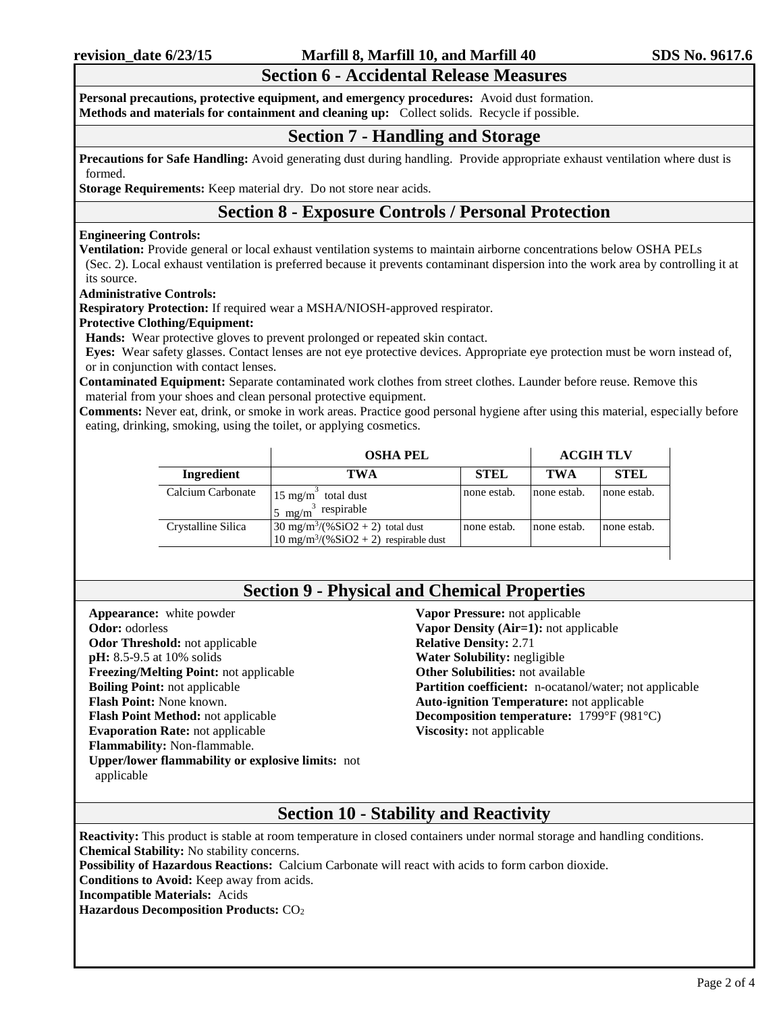### **Section 6 - Accidental Release Measures**

**Personal precautions, protective equipment, and emergency procedures:** Avoid dust formation. **Methods and materials for containment and cleaning up:** Collect solids. Recycle if possible.

### **Section 7 - Handling and Storage**

**Precautions for Safe Handling:** Avoid generating dust during handling. Provide appropriate exhaust ventilation where dust is formed.

**Storage Requirements:** Keep material dry. Do not store near acids.

### **Section 8 - Exposure Controls / Personal Protection**

### **Engineering Controls:**

**Ventilation:** Provide general or local exhaust ventilation systems to maintain airborne concentrations below OSHA PELs (Sec. 2). Local exhaust ventilation is preferred because it prevents contaminant dispersion into the work area by controlling it at its source.

**Administrative Controls:**

**Respiratory Protection:** If required wear a MSHA/NIOSH-approved respirator.

#### **Protective Clothing/Equipment:**

**Hands:** Wear protective gloves to prevent prolonged or repeated skin contact.

**Eyes:** Wear safety glasses. Contact lenses are not eye protective devices. Appropriate eye protection must be worn instead of, or in conjunction with contact lenses.

**Contaminated Equipment:** Separate contaminated work clothes from street clothes. Launder before reuse. Remove this material from your shoes and clean personal protective equipment.

**Comments:** Never eat, drink, or smoke in work areas. Practice good personal hygiene after using this material, especially before eating, drinking, smoking, using the toilet, or applying cosmetics.

|                    | <b>OSHA PEL</b>                                                                                        |             | <b>ACGIH TLV</b> |             |
|--------------------|--------------------------------------------------------------------------------------------------------|-------------|------------------|-------------|
| Ingredient         | TWA                                                                                                    | <b>STEL</b> | <b>TWA</b>       | <b>STEL</b> |
| Calcium Carbonate  | $15 \text{ mg/m}^3$<br>total dust<br>$n3$ respirable<br>5 mg/m <sup>3</sup>                            | none estab. | none estab.      | none estab. |
| Crystalline Silica | $30 \text{ mg/m}^3/(%SiO2 + 2)$ total dust<br>$10 \text{ mg/m}^3/(96 \text{SiO2} + 2)$ respirable dust | none estab. | none estab.      | none estab. |

### **Section 9 - Physical and Chemical Properties**

**Appearance:** white powder **Odor:** odorless **Odor Threshold:** not applicable **pH:** 8.5-9.5 at 10% solids **Freezing/Melting Point:** not applicable **Boiling Point:** not applicable **Flash Point:** None known. **Flash Point Method:** not applicable **Evaporation Rate:** not applicable **Flammability:** Non-flammable. **Upper/lower flammability or explosive limits:** not applicable

**Vapor Pressure:** not applicable **Vapor Density (Air=1):** not applicable **Relative Density:** 2.71 **Water Solubility:** negligible **Other Solubilities:** not available **Partition coefficient:** n-ocatanol/water; not applicable **Auto-ignition Temperature:** not applicable **Decomposition temperature:** 1799°F (981°C) **Viscosity:** not applicable

## **Section 10 - Stability and Reactivity**

**Reactivity:** This product is stable at room temperature in closed containers under normal storage and handling conditions. **Chemical Stability:** No stability concerns.

**Possibility of Hazardous Reactions:** Calcium Carbonate will react with acids to form carbon dioxide.

**Conditions to Avoid:** Keep away from acids.

**Incompatible Materials:** Acids

**Hazardous Decomposition Products:** CO<sub>2</sub>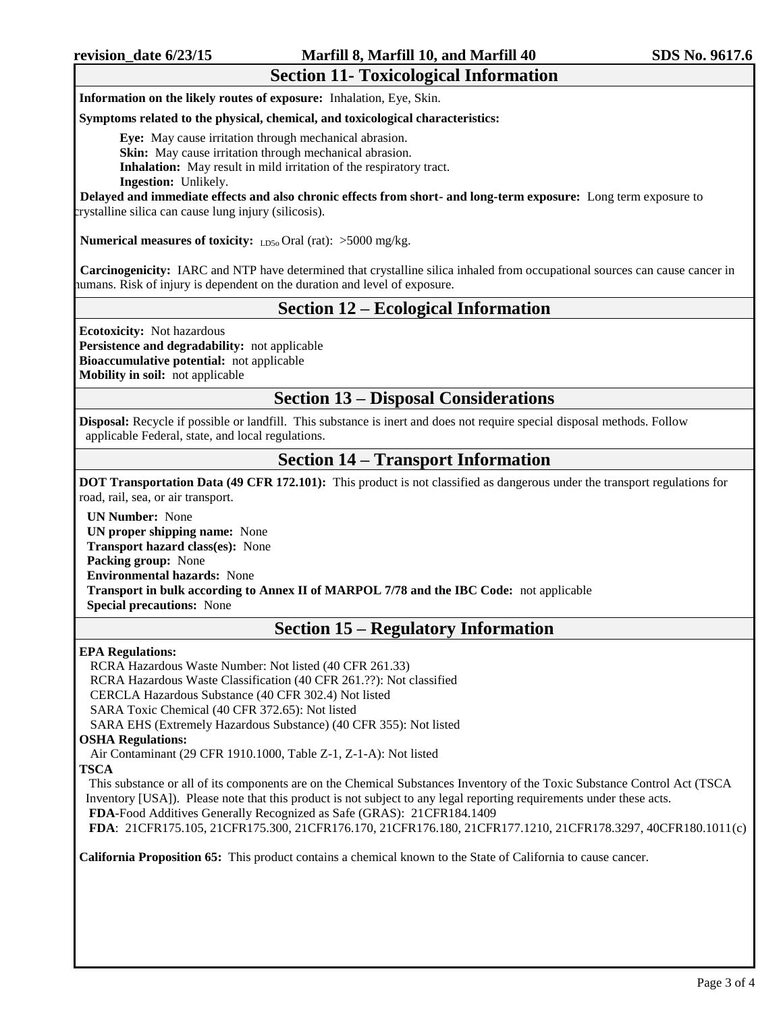**Information on the likely routes of exposure:** Inhalation, Eye, Skin.

#### **Symptoms related to the physical, chemical, and toxicological characteristics:**

**Eye:** May cause irritation through mechanical abrasion.

**Skin:** May cause irritation through mechanical abrasion.

**Inhalation:** May result in mild irritation of the respiratory tract.

**Ingestion:** Unlikely.

 **Delayed and immediate effects and also chronic effects from short- and long-term exposure:** Long term exposure to crystalline silica can cause lung injury (silicosis).

**Numerical measures of toxicity:** LD50 Oral (rat): >5000 mg/kg.

 **Carcinogenicity:** IARC and NTP have determined that crystalline silica inhaled from occupational sources can cause cancer in humans. Risk of injury is dependent on the duration and level of exposure.

### **Section 12 – Ecological Information**

**Ecotoxicity:** Not hazardous **Persistence and degradability:** not applicable **Bioaccumulative potential:** not applicable

**Mobility in soil:** not applicable

### **Section 13 – Disposal Considerations**

**Disposal:** Recycle if possible or landfill. This substance is inert and does not require special disposal methods. Follow applicable Federal, state, and local regulations.

### **Section 14 – Transport Information**

**DOT Transportation Data (49 CFR 172.101):** This product is not classified as dangerous under the transport regulations for road, rail, sea, or air transport.

**UN Number:** None **UN proper shipping name:** None **Transport hazard class(es):** None **Packing group:** None **Environmental hazards:** None **Transport in bulk according to Annex II of MARPOL 7/78 and the IBC Code:** not applicable **Special precautions:** None

## **Section 15 – Regulatory Information**

#### **EPA Regulations:**

RCRA Hazardous Waste Number: Not listed (40 CFR 261.33) RCRA Hazardous Waste Classification (40 CFR 261.??): Not classified CERCLA Hazardous Substance (40 CFR 302.4) Not listed SARA Toxic Chemical (40 CFR 372.65): Not listed

SARA EHS (Extremely Hazardous Substance) (40 CFR 355): Not listed

#### **OSHA Regulations:**

Air Contaminant (29 CFR 1910.1000, Table Z-1, Z-1-A): Not listed

#### **TSCA**

This substance or all of its components are on the Chemical Substances Inventory of the Toxic Substance Control Act (TSCA Inventory [USA]). Please note that this product is not subject to any legal reporting requirements under these acts. **FDA**-Food Additives Generally Recognized as Safe (GRAS): 21CFR184.1409 **FDA**: 21CFR175.105, 21CFR175.300, 21CFR176.170, 21CFR176.180, 21CFR177.1210, 21CFR178.3297, 40CFR180.1011(c)

**California Proposition 65:** This product contains a chemical known to the State of California to cause cancer.